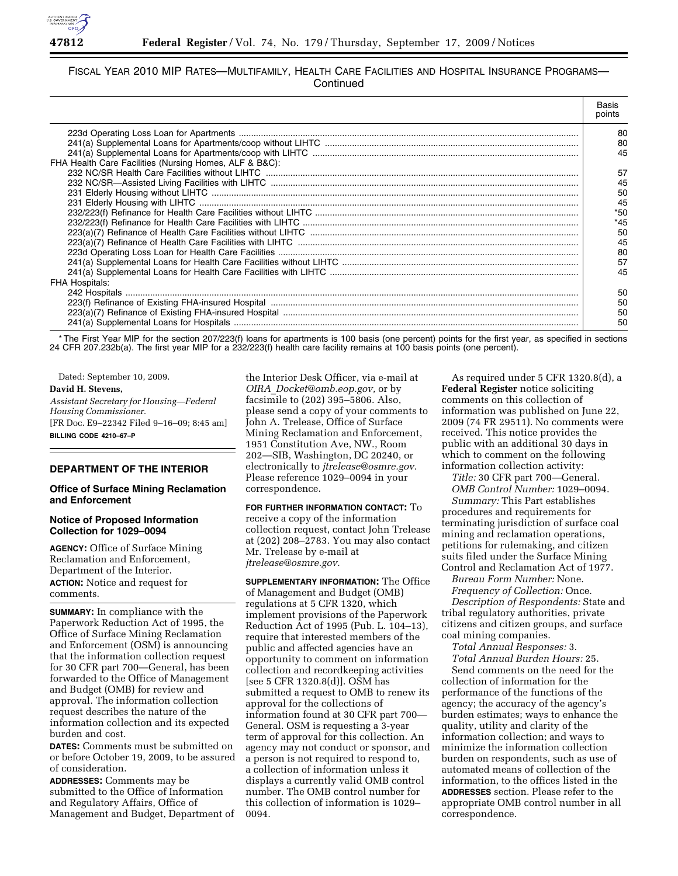

# FISCAL YEAR 2010 MIP RATES—MULTIFAMILY, HEALTH CARE FACILITIES AND HOSPITAL INSURANCE PROGRAMS— **Continued**

|                                                                                                               | Basis<br>points |
|---------------------------------------------------------------------------------------------------------------|-----------------|
|                                                                                                               | 80              |
|                                                                                                               | 80              |
|                                                                                                               | 45              |
| FHA Health Care Facilities (Nursing Homes, ALF & B&C):                                                        |                 |
|                                                                                                               | 57              |
|                                                                                                               | 45              |
|                                                                                                               | 50              |
|                                                                                                               | 45              |
|                                                                                                               | $*50$           |
|                                                                                                               | $*45$           |
|                                                                                                               | 50              |
|                                                                                                               | 45              |
|                                                                                                               | 80              |
|                                                                                                               | 57              |
|                                                                                                               | 45              |
| <b>FHA Hospitals:</b>                                                                                         |                 |
|                                                                                                               | 50              |
| 223(f) Refinance of Existing FHA-insured Hospital measuremanamental contents and a content of the interest of | 50              |
|                                                                                                               | 50              |
|                                                                                                               | 50              |

\* The First Year MIP for the section 207/223(f) loans for apartments is 100 basis (one percent) points for the first year, as specified in sections 24 CFR 207.232b(a). The first year MIP for a 232/223(f) health care facility remains at 100 basis points (one percent).

Dated: September 10, 2009. **David H. Stevens,**  *Assistant Secretary for Housing—Federal Housing Commissioner.*  [FR Doc. E9–22342 Filed 9–16–09; 8:45 am] **BILLING CODE 4210–67–P** 

# **DEPARTMENT OF THE INTERIOR**

## **Office of Surface Mining Reclamation and Enforcement**

## **Notice of Proposed Information Collection for 1029–0094**

**AGENCY:** Office of Surface Mining Reclamation and Enforcement, Department of the Interior. **ACTION:** Notice and request for comments.

**SUMMARY:** In compliance with the Paperwork Reduction Act of 1995, the Office of Surface Mining Reclamation and Enforcement (OSM) is announcing that the information collection request for 30 CFR part 700—General, has been forwarded to the Office of Management and Budget (OMB) for review and approval. The information collection request describes the nature of the information collection and its expected burden and cost.

**DATES:** Comments must be submitted on or before October 19, 2009, to be assured of consideration.

**ADDRESSES:** Comments may be submitted to the Office of Information and Regulatory Affairs, Office of Management and Budget, Department of the Interior Desk Officer, via e-mail at *OIRA*\_*Docket@omb.eop.gov,* or by facsimile to (202) 395–5806. Also, please send a copy of your comments to John A. Trelease, Office of Surface Mining Reclamation and Enforcement, 1951 Constitution Ave, NW., Room 202—SIB, Washington, DC 20240, or electronically to *jtrelease@osmre.gov.*  Please reference 1029–0094 in your correspondence.

**FOR FURTHER INFORMATION CONTACT:** To receive a copy of the information collection request, contact John Trelease at (202) 208–2783. You may also contact Mr. Trelease by e-mail at *jtrelease@osmre.gov.* 

**SUPPLEMENTARY INFORMATION:** The Office of Management and Budget (OMB) regulations at 5 CFR 1320, which implement provisions of the Paperwork Reduction Act of 1995 (Pub. L. 104–13), require that interested members of the public and affected agencies have an opportunity to comment on information collection and recordkeeping activities [see 5 CFR 1320.8(d)]. OSM has submitted a request to OMB to renew its approval for the collections of information found at 30 CFR part 700— General. OSM is requesting a 3-year term of approval for this collection. An agency may not conduct or sponsor, and a person is not required to respond to, a collection of information unless it displays a currently valid OMB control number. The OMB control number for this collection of information is 1029– 0094.

As required under 5 CFR 1320.8(d), a **Federal Register** notice soliciting comments on this collection of information was published on June 22, 2009 (74 FR 29511). No comments were received. This notice provides the public with an additional 30 days in which to comment on the following information collection activity:

*Title:* 30 CFR part 700—General.

*OMB Control Number:* 1029–0094. *Summary:* This Part establishes procedures and requirements for terminating jurisdiction of surface coal mining and reclamation operations, petitions for rulemaking, and citizen suits filed under the Surface Mining Control and Reclamation Act of 1977.

*Bureau Form Number:* None. *Frequency of Collection:* Once.

*Description of Respondents:* State and tribal regulatory authorities, private citizens and citizen groups, and surface coal mining companies.

*Total Annual Responses:* 3. *Total Annual Burden Hours:* 25.

Send comments on the need for the collection of information for the performance of the functions of the agency; the accuracy of the agency's burden estimates; ways to enhance the quality, utility and clarity of the information collection; and ways to minimize the information collection burden on respondents, such as use of automated means of collection of the information, to the offices listed in the **ADDRESSES** section. Please refer to the appropriate OMB control number in all correspondence.